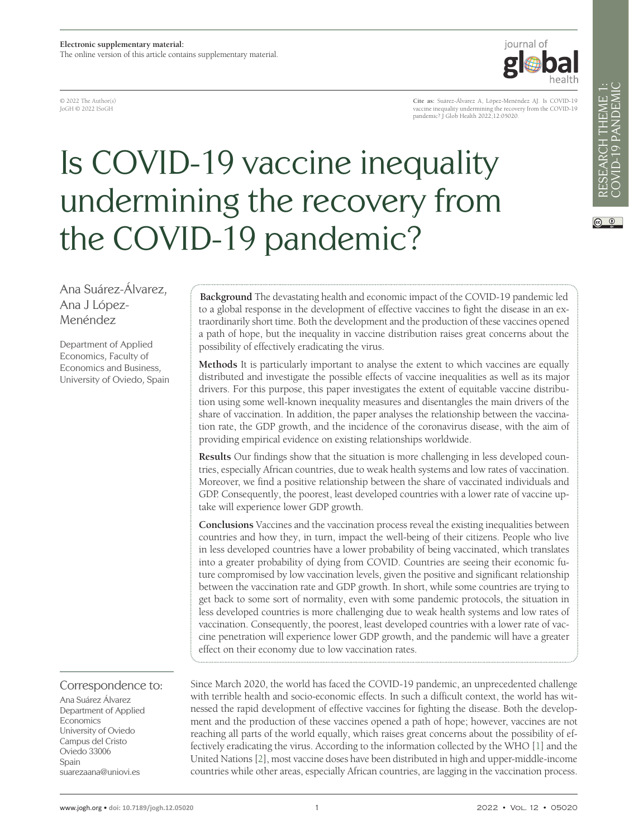© 2022 The Author(s) JoGH © 2022 ISoGH

iournal of

# Is COVID-19 vaccine inequality undermining the recovery from the COVID-19 pandemic?

 $\circledcirc$ 

Ana Suárez-Álvarez, Ana J López-Menéndez

Department of Applied Economics, Faculty of Economics and Business, University of Oviedo, Spain

Correspondence to:

Ana Suárez Álvarez Department of Applied Economics University of Oviedo Campus del Cristo Oviedo 33006 Spain suarezaana@uniovi.es

**Background** The devastating health and economic impact of the COVID-19 pandemic led to a global response in the development of effective vaccines to fight the disease in an extraordinarily short time. Both the development and the production of these vaccines opened a path of hope, but the inequality in vaccine distribution raises great concerns about the possibility of effectively eradicating the virus.

**Methods** It is particularly important to analyse the extent to which vaccines are equally distributed and investigate the possible effects of vaccine inequalities as well as its major drivers. For this purpose, this paper investigates the extent of equitable vaccine distribution using some well-known inequality measures and disentangles the main drivers of the share of vaccination. In addition, the paper analyses the relationship between the vaccination rate, the GDP growth, and the incidence of the coronavirus disease, with the aim of providing empirical evidence on existing relationships worldwide.

**Results** Our findings show that the situation is more challenging in less developed countries, especially African countries, due to weak health systems and low rates of vaccination. Moreover, we find a positive relationship between the share of vaccinated individuals and GDP. Consequently, the poorest, least developed countries with a lower rate of vaccine uptake will experience lower GDP growth.

**Conclusions** Vaccines and the vaccination process reveal the existing inequalities between countries and how they, in turn, impact the well-being of their citizens. People who live in less developed countries have a lower probability of being vaccinated, which translates into a greater probability of dying from COVID. Countries are seeing their economic future compromised by low vaccination levels, given the positive and significant relationship between the vaccination rate and GDP growth. In short, while some countries are trying to get back to some sort of normality, even with some pandemic protocols, the situation in less developed countries is more challenging due to weak health systems and low rates of vaccination. Consequently, the poorest, least developed countries with a lower rate of vaccine penetration will experience lower GDP growth, and the pandemic will have a greater effect on their economy due to low vaccination rates.

Since March 2020, the world has faced the COVID-19 pandemic, an unprecedented challenge with terrible health and socio-economic effects. In such a difficult context, the world has witnessed the rapid development of effective vaccines for fighting the disease. Both the development and the production of these vaccines opened a path of hope; however, vaccines are not reaching all parts of the world equally, which raises great concerns about the possibility of effectively eradicating the virus. According to the information collected by the WHO [\[1](#page-7-0)] and the United Nations [\[2](#page-7-1)], most vaccine doses have been distributed in high and upper-middle-income countries while other areas, especially African countries, are lagging in the vaccination process.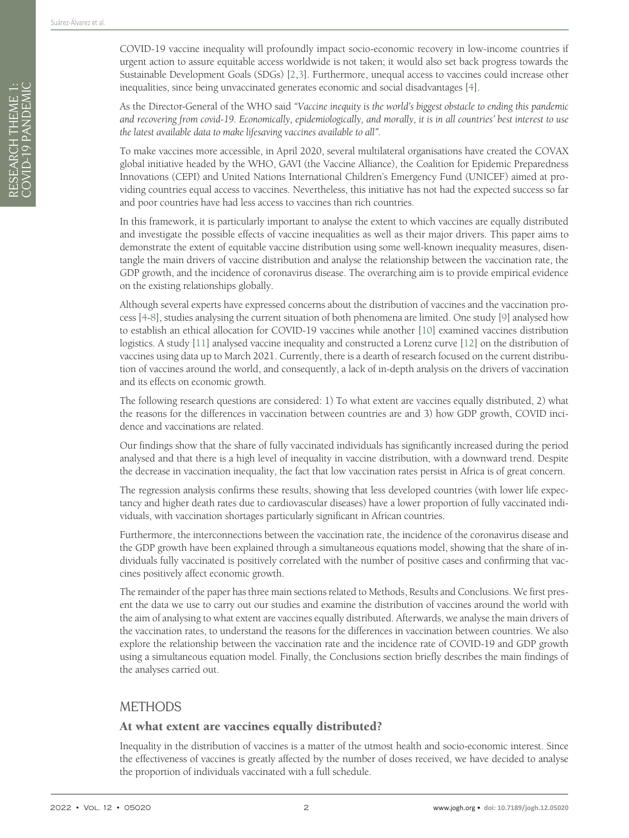COVID-19 vaccine inequality will profoundly impact socio-economic recovery in low-income countries if urgent action to assure equitable access worldwide is not taken; it would also set back progress towards the Sustainable Development Goals (SDGs) [[2](#page-7-1)[,3\]](#page-7-2). Furthermore, unequal access to vaccines could increase other inequalities, since being unvaccinated generates economic and social disadvantages [[4\]](#page-7-3).

As the Director-General of the WHO said *"Vaccine inequity is the world's biggest obstacle to ending this pandemic and recovering from covid-19. Economically, epidemiologically, and morally, it is in all countries' best interest to use the latest available data to make lifesaving vaccines available to all".*

To make vaccines more accessible, in April 2020, several multilateral organisations have created the COVAX global initiative headed by the WHO, GAVI (the Vaccine Alliance), the Coalition for Epidemic Preparedness Innovations (CEPI) and United Nations International Children's Emergency Fund (UNICEF) aimed at providing countries equal access to vaccines. Nevertheless, this initiative has not had the expected success so far and poor countries have had less access to vaccines than rich countries.

In this framework, it is particularly important to analyse the extent to which vaccines are equally distributed and investigate the possible effects of vaccine inequalities as well as their major drivers. This paper aims to demonstrate the extent of equitable vaccine distribution using some well-known inequality measures, disentangle the main drivers of vaccine distribution and analyse the relationship between the vaccination rate, the GDP growth, and the incidence of coronavirus disease. The overarching aim is to provide empirical evidence on the existing relationships globally.

Although several experts have expressed concerns about the distribution of vaccines and the vaccination process [\[4](#page-7-3)-[8\]](#page-7-4), studies analysing the current situation of both phenomena are limited. One study [\[9](#page-7-5)] analysed how to establish an ethical allocation for COVID-19 vaccines while another [\[10](#page-7-6)] examined vaccines distribution logistics. A study [\[11](#page-7-7)] analysed vaccine inequality and constructed a Lorenz curve [\[12](#page-7-8)] on the distribution of vaccines using data up to March 2021. Currently, there is a dearth of research focused on the current distribution of vaccines around the world, and consequently, a lack of in-depth analysis on the drivers of vaccination and its effects on economic growth.

The following research questions are considered: 1) To what extent are vaccines equally distributed, 2) what the reasons for the differences in vaccination between countries are and 3) how GDP growth, COVID incidence and vaccinations are related.

Our findings show that the share of fully vaccinated individuals has significantly increased during the period analysed and that there is a high level of inequality in vaccine distribution, with a downward trend. Despite the decrease in vaccination inequality, the fact that low vaccination rates persist in Africa is of great concern.

The regression analysis confirms these results, showing that less developed countries (with lower life expectancy and higher death rates due to cardiovascular diseases) have a lower proportion of fully vaccinated individuals, with vaccination shortages particularly significant in African countries.

Furthermore, the interconnections between the vaccination rate, the incidence of the coronavirus disease and the GDP growth have been explained through a simultaneous equations model, showing that the share of individuals fully vaccinated is positively correlated with the number of positive cases and confirming that vaccines positively affect economic growth.

The remainder of the paper has three main sections related to Methods, Results and Conclusions. We first present the data we use to carry out our studies and examine the distribution of vaccines around the world with the aim of analysing to what extent are vaccines equally distributed. Afterwards, we analyse the main drivers of the vaccination rates, to understand the reasons for the differences in vaccination between countries. We also explore the relationship between the vaccination rate and the incidence rate of COVID-19 and GDP growth using a simultaneous equation model. Finally, the Conclusions section briefly describes the main findings of the analyses carried out.

## **METHODS**

#### At what extent are vaccines equally distributed?

Inequality in the distribution of vaccines is a matter of the utmost health and socio-economic interest. Since the effectiveness of vaccines is greatly affected by the number of doses received, we have decided to analyse the proportion of individuals vaccinated with a full schedule.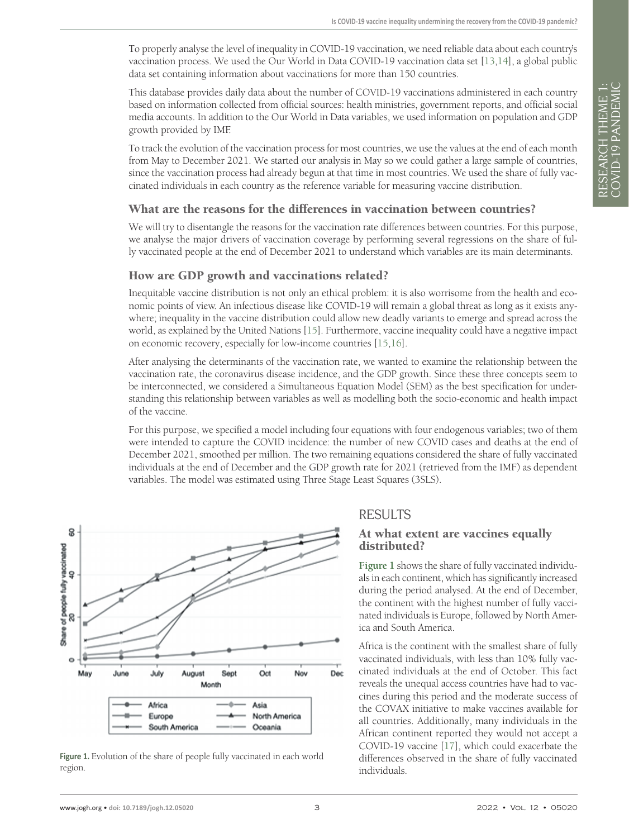To properly analyse the level of inequality in COVID-19 vaccination, we need reliable data about each country's vaccination process. We used the Our World in Data COVID-19 vaccination data set [[13,](#page-7-9)[14](#page-7-10)], a global public data set containing information about vaccinations for more than 150 countries.

This database provides daily data about the number of COVID-19 vaccinations administered in each country based on information collected from official sources: health ministries, government reports, and official social media accounts. In addition to the Our World in Data variables, we used information on population and GDP growth provided by IMF.

To track the evolution of the vaccination process for most countries, we use the values at the end of each month from May to December 2021. We started our analysis in May so we could gather a large sample of countries, since the vaccination process had already begun at that time in most countries. We used the share of fully vaccinated individuals in each country as the reference variable for measuring vaccine distribution.

#### What are the reasons for the differences in vaccination between countries?

We will try to disentangle the reasons for the vaccination rate differences between countries. For this purpose, we analyse the major drivers of vaccination coverage by performing several regressions on the share of fully vaccinated people at the end of December 2021 to understand which variables are its main determinants.

#### How are GDP growth and vaccinations related?

Inequitable vaccine distribution is not only an ethical problem: it is also worrisome from the health and economic points of view. An infectious disease like COVID-19 will remain a global threat as long as it exists anywhere; inequality in the vaccine distribution could allow new deadly variants to emerge and spread across the world, as explained by the United Nations [\[15\]](#page-7-11). Furthermore, vaccine inequality could have a negative impact on economic recovery, especially for low-income countries [\[15,](#page-7-11)[16](#page-7-12)].

After analysing the determinants of the vaccination rate, we wanted to examine the relationship between the vaccination rate, the coronavirus disease incidence, and the GDP growth. Since these three concepts seem to be interconnected, we considered a Simultaneous Equation Model (SEM) as the best specification for understanding this relationship between variables as well as modelling both the socio-economic and health impact of the vaccine.

For this purpose, we specified a model including four equations with four endogenous variables; two of them were intended to capture the COVID incidence: the number of new COVID cases and deaths at the end of December 2021, smoothed per million. The two remaining equations considered the share of fully vaccinated individuals at the end of December and the GDP growth rate for 2021 (retrieved from the IMF) as dependent variables. The model was estimated using Three Stage Least Squares (3SLS).

<span id="page-2-0"></span>

Figure 1. Evolution of the share of people fully vaccinated in each world region.

## RESULTS

#### At what extent are vaccines equally distributed?

**[Figure 1](#page-2-0)** shows the share of fully vaccinated individuals in each continent, which has significantly increased during the period analysed. At the end of December, the continent with the highest number of fully vaccinated individuals is Europe, followed by North America and South America.

Africa is the continent with the smallest share of fully vaccinated individuals, with less than 10% fully vaccinated individuals at the end of October. This fact reveals the unequal access countries have had to vaccines during this period and the moderate success of the COVAX initiative to make vaccines available for all countries. Additionally, many individuals in the African continent reported they would not accept a COVID-19 vaccine [[17\]](#page-7-13), which could exacerbate the differences observed in the share of fully vaccinated individuals.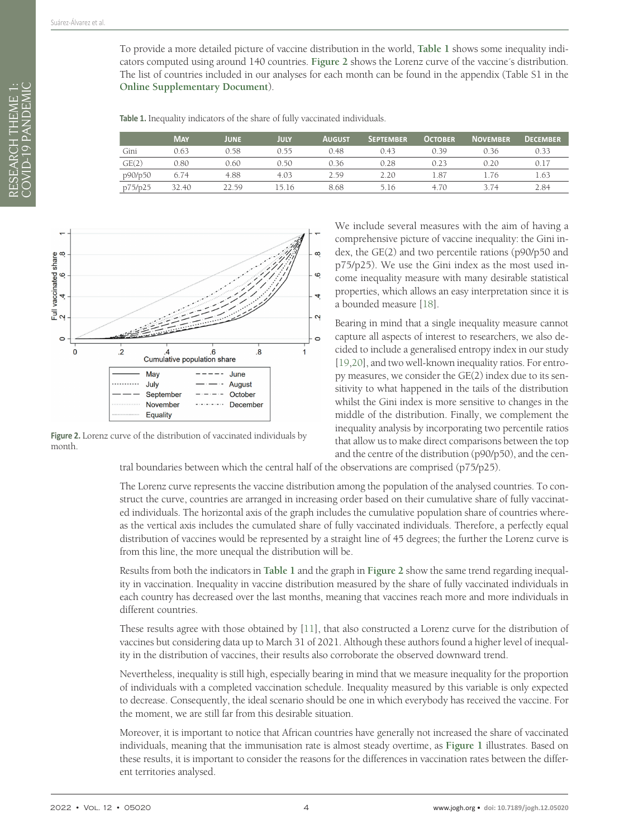To provide a more detailed picture of vaccine distribution in the world, **[Table 1](#page-3-0)** shows some inequality indicators computed using around 140 countries. **[Figure 2](#page-3-1)** shows the Lorenz curve of the vaccine´s distribution. The list of countries included in our analyses for each month can be found in the appendix (Table S1 in the **[Online Supplementary Document](#page-6-0)**).

<span id="page-3-0"></span>**Table 1.** Inequality indicators of the share of fully vaccinated individuals.

|         | <b>MAY</b> | <b>JUNE</b> | JULY  | <b>AUGUST</b> | <b>SEPTEMBER</b> | <b>OCTOBER</b> | <b>NOVEMBER</b> | <b>DECEMBER</b> |
|---------|------------|-------------|-------|---------------|------------------|----------------|-----------------|-----------------|
| Gini    | 0.63       | 0.58        | 0.55  | 0.48          | 0.43             | 0.39           | 0.36            | 0.33            |
| GE(2)   | 0.80       | 0.60        | 0.50  | 0.36          | 0.28             | 0.23           | 0.20            | 0.17            |
| p90/p50 | 6.74       | 4.88        | 4.03  | 2.59          | 2.20             | 1.87           |                 | 1.63            |
| p75/p25 | 32.40      | 22.59       | 15.16 | 8.68          | 5.16             | 4.70           | 3 74            | 2.84            |

<span id="page-3-1"></span>

Figure 2. Lorenz curve of the distribution of vaccinated individuals by month.

We include several measures with the aim of having a comprehensive picture of vaccine inequality: the Gini index, the GE(2) and two percentile rations (p90/p50 and p75/p25). We use the Gini index as the most used income inequality measure with many desirable statistical properties, which allows an easy interpretation since it is a bounded measure [\[18](#page-7-14)].

Bearing in mind that a single inequality measure cannot capture all aspects of interest to researchers, we also decided to include a generalised entropy index in our study [[19](#page-7-15)[,20](#page-7-16)], and two well-known inequality ratios. For entropy measures, we consider the GE(2) index due to its sensitivity to what happened in the tails of the distribution whilst the Gini index is more sensitive to changes in the middle of the distribution. Finally, we complement the inequality analysis by incorporating two percentile ratios that allow us to make direct comparisons between the top and the centre of the distribution (p90/p50), and the cen-

tral boundaries between which the central half of the observations are comprised (p75/p25).

The Lorenz curve represents the vaccine distribution among the population of the analysed countries. To construct the curve, countries are arranged in increasing order based on their cumulative share of fully vaccinated individuals. The horizontal axis of the graph includes the cumulative population share of countries whereas the vertical axis includes the cumulated share of fully vaccinated individuals. Therefore, a perfectly equal distribution of vaccines would be represented by a straight line of 45 degrees; the further the Lorenz curve is from this line, the more unequal the distribution will be.

Results from both the indicators in **[Table 1](#page-3-0)** and the graph in **[Figure 2](#page-3-1)** show the same trend regarding inequality in vaccination. Inequality in vaccine distribution measured by the share of fully vaccinated individuals in each country has decreased over the last months, meaning that vaccines reach more and more individuals in different countries.

These results agree with those obtained by [[11\]](#page-7-7), that also constructed a Lorenz curve for the distribution of vaccines but considering data up to March 31 of 2021. Although these authors found a higher level of inequality in the distribution of vaccines, their results also corroborate the observed downward trend.

Nevertheless, inequality is still high, especially bearing in mind that we measure inequality for the proportion of individuals with a completed vaccination schedule. Inequality measured by this variable is only expected to decrease. Consequently, the ideal scenario should be one in which everybody has received the vaccine. For the moment, we are still far from this desirable situation.

Moreover, it is important to notice that African countries have generally not increased the share of vaccinated individuals, meaning that the immunisation rate is almost steady overtime, as **[Figure 1](#page-2-0)** illustrates. Based on these results, it is important to consider the reasons for the differences in vaccination rates between the different territories analysed.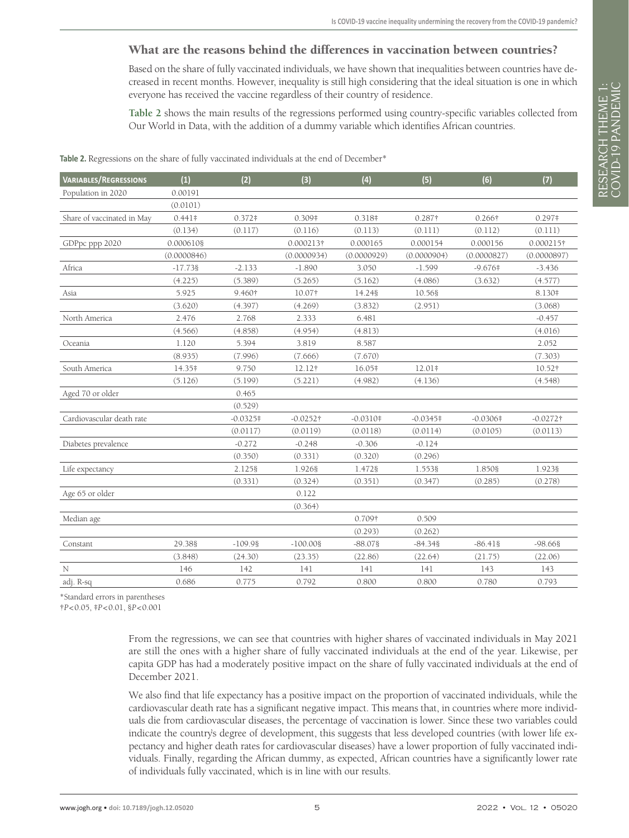## What are the reasons behind the differences in vaccination between countries?

Based on the share of fully vaccinated individuals, we have shown that inequalities between countries have decreased in recent months. However, inequality is still high considering that the ideal situation is one in which everyone has received the vaccine regardless of their country of residence.

**[Table 2](#page-4-0)** shows the main results of the regressions performed using country-specific variables collected from Our World in Data, with the addition of a dummy variable which identifies African countries.

| <b>VARIABLES/REGRESSIONS</b> | (1)         | (2)        | (3)              | (4)         | (5)         | (6)         | (7)         |
|------------------------------|-------------|------------|------------------|-------------|-------------|-------------|-------------|
| Population in 2020           | 0.00191     |            |                  |             |             |             |             |
|                              | (0.0101)    |            |                  |             |             |             |             |
| Share of vaccinated in May   | $0.441*$    | $0.372*$   | 0.309#           | 0.318#      | 0.287†      | 0.266†      | $0.297*$    |
|                              | (0.134)     | (0.117)    | (0.116)          | (0.113)     | (0.111)     | (0.112)     | (0.111)     |
| GDPpc ppp 2020               | 0.000610§   |            | 0.000213†        | 0.000165    | 0.000154    | 0.000156    | 0.000215†   |
|                              | (0.0000846) |            | (0.0000934)      | (0.0000929) | (0.0000904) | (0.0000827) | (0.0000897) |
| Africa                       | $-17.738$   | $-2.133$   | $-1.890$         | 3.050       | $-1.599$    | $-9.676$    | $-3.436$    |
|                              | (4.225)     | (5.389)    | (5.265)          | (5.162)     | (4.086)     | (3.632)     | (4.577)     |
| Asia                         | 5.925       | 9.460†     | 10.07†           | 14.248      | 10.568      |             | 8.130#      |
|                              | (3.620)     | (4.397)    | (4.269)          | (3.832)     | (2.951)     |             | (3.068)     |
| North America                | 2.476       | 2.768      | 2.333            | 6.481       |             |             | $-0.457$    |
|                              | (4.566)     | (4.858)    | (4.954)          | (4.813)     |             |             | (4.016)     |
| Oceania                      | 1.120       | 5.394      | 3.819            | 8.587       |             |             | 2.052       |
|                              | (8.935)     | (7.996)    | (7.666)          | (7.670)     |             |             | (7.303)     |
| South America                | 14.35#      | 9.750      | 12.12†           | 16.05#      | 12.01#      |             | 10.52†      |
|                              | (5.126)     | (5.199)    | (5.221)          | (4.982)     | (4.136)     |             | (4.548)     |
| Aged 70 or older             |             | 0.465      |                  |             |             |             |             |
|                              |             | (0.529)    |                  |             |             |             |             |
| Cardiovascular death rate    |             | $-0.0325*$ | $-0.0252\dagger$ | $-0.0310*$  | $-0.0345*$  | $-0.0306*$  | $-0.0272$ † |
|                              |             | (0.0117)   | (0.0119)         | (0.0118)    | (0.0114)    | (0.0105)    | (0.0113)    |
| Diabetes prevalence          |             | $-0.272$   | $-0.248$         | $-0.306$    | $-0.124$    |             |             |
|                              |             | (0.350)    | (0.331)          | (0.320)     | (0.296)     |             |             |
| Life expectancy              |             | 2.1258     | 1.926§           | 1.472§      | 1.5538      | 1.850§      | 1.9238      |
|                              |             | (0.331)    | (0.324)          | (0.351)     | (0.347)     | (0.285)     | (0.278)     |
| Age 65 or older              |             |            | 0.122            |             |             |             |             |
|                              |             |            | (0.364)          |             |             |             |             |
| Median age                   |             |            |                  | 0.709†      | 0.509       |             |             |
|                              |             |            |                  | (0.293)     | (0.262)     |             |             |
| Constant                     | 29.38§      | $-109.98$  | $-100.008$       | $-88.078$   | $-84.348$   | $-86.418$   | $-98.668$   |
|                              | (3.848)     | (24.30)    | (23.35)          | (22.86)     | (22.64)     | (21.75)     | (22.06)     |
| N                            | 146         | 142        | 141              | 141         | 141         | 143         | 143         |
| adj. R-sq                    | 0.686       | 0.775      | 0.792            | 0.800       | 0.800       | 0.780       | 0.793       |

<span id="page-4-0"></span>Table 2. Regressions on the share of fully vaccinated individuals at the end of December\*

\*Standard errors in parentheses

†*P*<0.05, ‡*P*<0.01, §*P*<0.001

From the regressions, we can see that countries with higher shares of vaccinated individuals in May 2021 are still the ones with a higher share of fully vaccinated individuals at the end of the year. Likewise, per capita GDP has had a moderately positive impact on the share of fully vaccinated individuals at the end of December 2021.

We also find that life expectancy has a positive impact on the proportion of vaccinated individuals, while the cardiovascular death rate has a significant negative impact. This means that, in countries where more individuals die from cardiovascular diseases, the percentage of vaccination is lower. Since these two variables could indicate the country's degree of development, this suggests that less developed countries (with lower life expectancy and higher death rates for cardiovascular diseases) have a lower proportion of fully vaccinated individuals. Finally, regarding the African dummy, as expected, African countries have a significantly lower rate of individuals fully vaccinated, which is in line with our results.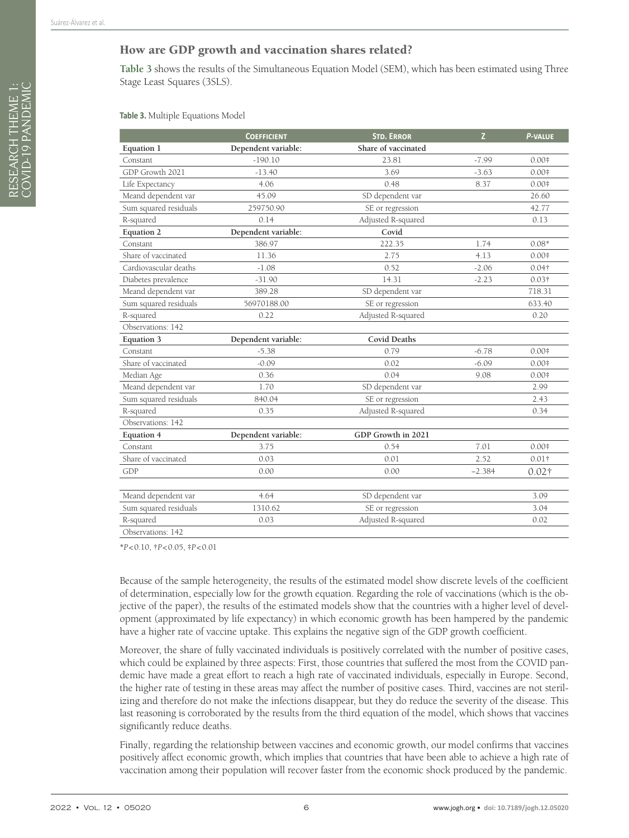#### How are GDP growth and vaccination shares related?

**[Table 3](#page-5-0)** shows the results of the Simultaneous Equation Model (SEM), which has been estimated using Three Stage Least Squares (3SLS).

<span id="page-5-0"></span>**Table 3.** Multiple Equations Model

|                       | <b>COEFFICIENT</b>  | <b>STD. ERROR</b>   | $\overline{z}$ | <b>P-VALUE</b>    |
|-----------------------|---------------------|---------------------|----------------|-------------------|
| Equation 1            | Dependent variable: | Share of vaccinated |                |                   |
| Constant              | $-190.10$           | 23.81               | $-7.99$        | $0.00*$           |
| GDP Growth 2021       | $-13.40$            | 3.69                | $-3.63$        | $0.00*$           |
| Life Expectancy       | 4.06                | 0.48                | 8.37           | $0.00*$           |
| Meand dependent var   | 45.09               | SD dependent var    |                | 26.60             |
| Sum squared residuals | 259750.90           | SE or regression    |                | 42.77             |
| R-squared             | 0.14                | Adjusted R-squared  |                | 0.13              |
| <b>Equation 2</b>     | Dependent variable: | Covid               |                |                   |
| Constant              | 386.97              | 222.35              | 1.74           | $0.08*$           |
| Share of vaccinated   | 11.36               | 2.75                | 4.13           | $0.00*$           |
| Cardiovascular deaths | $-1.08$             | 0.52                | $-2.06$        | 0.04 <sup>†</sup> |
| Diabetes prevalence   | $-31.90$            | 14.31               | $-2.23$        | $0.03\dagger$     |
| Meand dependent var   | 389.28              | SD dependent var    |                | 718.31            |
| Sum squared residuals | 56970188.00         | SE or regression    |                | 633.40            |
| R-squared             | 0.22                | Adjusted R-squared  |                | 0.20              |
| Observations: 142     |                     |                     |                |                   |
| <b>Equation 3</b>     | Dependent variable: | <b>Covid Deaths</b> |                |                   |
| Constant              | $-5.38$             | 0.79                | $-6.78$        | $0.00*$           |
| Share of vaccinated   | $-0.09$             | 0.02                | $-6.09$        | $0.00*$           |
| Median Age            | 0.36                | 0.04                | 9.08           | $0.00*$           |
| Meand dependent var   | 1.70                | SD dependent var    |                | 2.99              |
| Sum squared residuals | 840.04              | SE or regression    |                | 2.43              |
| R-squared             | 0.35                | Adjusted R-squared  |                | 0.34              |
| Observations: 142     |                     |                     |                |                   |
| <b>Equation 4</b>     | Dependent variable: | GDP Growth in 2021  |                |                   |
| Constant              | 3.75                | 0.54                | 7.01           | $0.00*$           |
| Share of vaccinated   | 0.03                | 0.01                | 2.52           | 0.01 <sup>†</sup> |
| GDP                   | 0.00                | 0.00                | $-2.384$       | $0.02\dagger$     |
|                       |                     |                     |                |                   |
| Meand dependent var   | 4.64                | SD dependent var    |                | 3.09              |
| Sum squared residuals | 1310.62             | SE or regression    |                | 3.04              |
| R-squared             | 0.03                | Adjusted R-squared  |                | 0.02              |
| Observations: 142     |                     |                     |                |                   |

**\****P*<0.10, †*P*<0.05, ‡*P*<0.01

Because of the sample heterogeneity, the results of the estimated model show discrete levels of the coefficient of determination, especially low for the growth equation. Regarding the role of vaccinations (which is the objective of the paper), the results of the estimated models show that the countries with a higher level of development (approximated by life expectancy) in which economic growth has been hampered by the pandemic have a higher rate of vaccine uptake. This explains the negative sign of the GDP growth coefficient.

Moreover, the share of fully vaccinated individuals is positively correlated with the number of positive cases, which could be explained by three aspects: First, those countries that suffered the most from the COVID pandemic have made a great effort to reach a high rate of vaccinated individuals, especially in Europe. Second, the higher rate of testing in these areas may affect the number of positive cases. Third, vaccines are not sterilizing and therefore do not make the infections disappear, but they do reduce the severity of the disease. This last reasoning is corroborated by the results from the third equation of the model, which shows that vaccines significantly reduce deaths.

Finally, regarding the relationship between vaccines and economic growth, our model confirms that vaccines positively affect economic growth, which implies that countries that have been able to achieve a high rate of vaccination among their population will recover faster from the economic shock produced by the pandemic.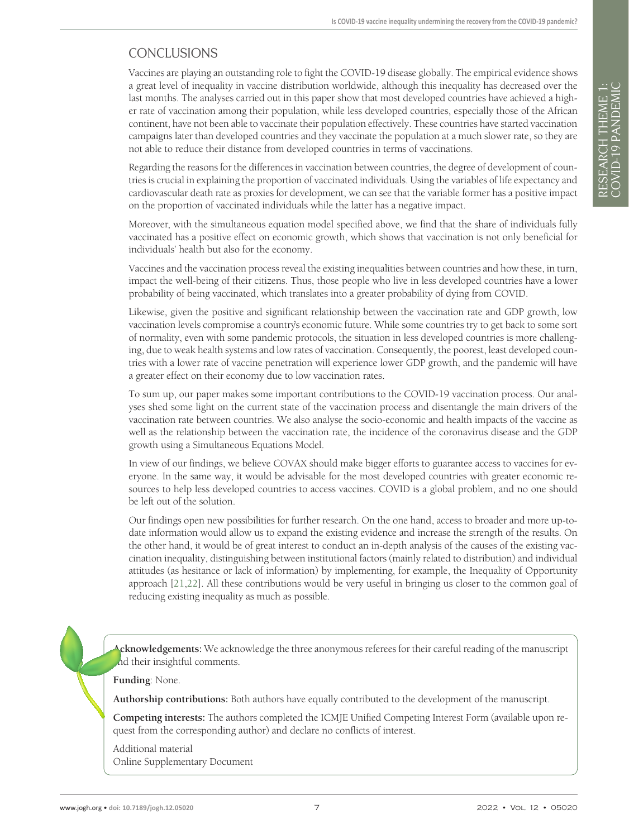## CONCLUSIONS

Vaccines are playing an outstanding role to fight the COVID-19 disease globally. The empirical evidence shows a great level of inequality in vaccine distribution worldwide, although this inequality has decreased over the last months. The analyses carried out in this paper show that most developed countries have achieved a higher rate of vaccination among their population, while less developed countries, especially those of the African continent, have not been able to vaccinate their population effectively. These countries have started vaccination campaigns later than developed countries and they vaccinate the population at a much slower rate, so they are not able to reduce their distance from developed countries in terms of vaccinations.

Regarding the reasons for the differences in vaccination between countries, the degree of development of countries is crucial in explaining the proportion of vaccinated individuals. Using the variables of life expectancy and cardiovascular death rate as proxies for development, we can see that the variable former has a positive impact on the proportion of vaccinated individuals while the latter has a negative impact.

Moreover, with the simultaneous equation model specified above, we find that the share of individuals fully vaccinated has a positive effect on economic growth, which shows that vaccination is not only beneficial for individuals' health but also for the economy.

Vaccines and the vaccination process reveal the existing inequalities between countries and how these, in turn, impact the well-being of their citizens. Thus, those people who live in less developed countries have a lower probability of being vaccinated, which translates into a greater probability of dying from COVID.

Likewise, given the positive and significant relationship between the vaccination rate and GDP growth, low vaccination levels compromise a country's economic future. While some countries try to get back to some sort of normality, even with some pandemic protocols, the situation in less developed countries is more challenging, due to weak health systems and low rates of vaccination. Consequently, the poorest, least developed countries with a lower rate of vaccine penetration will experience lower GDP growth, and the pandemic will have a greater effect on their economy due to low vaccination rates.

To sum up, our paper makes some important contributions to the COVID-19 vaccination process. Our analyses shed some light on the current state of the vaccination process and disentangle the main drivers of the vaccination rate between countries. We also analyse the socio-economic and health impacts of the vaccine as well as the relationship between the vaccination rate, the incidence of the coronavirus disease and the GDP growth using a Simultaneous Equations Model.

In view of our findings, we believe COVAX should make bigger efforts to guarantee access to vaccines for everyone. In the same way, it would be advisable for the most developed countries with greater economic resources to help less developed countries to access vaccines. COVID is a global problem, and no one should be left out of the solution.

Our findings open new possibilities for further research. On the one hand, access to broader and more up-todate information would allow us to expand the existing evidence and increase the strength of the results. On the other hand, it would be of great interest to conduct an in-depth analysis of the causes of the existing vaccination inequality, distinguishing between institutional factors (mainly related to distribution) and individual attitudes (as hesitance or lack of information) by implementing, for example, the Inequality of Opportunity approach [[21](#page-7-17)[,22](#page-7-18)]. All these contributions would be very useful in bringing us closer to the common goal of reducing existing inequality as much as possible.

**Acknowledgements:** We acknowledge the three anonymous referees for their careful reading of the manuscript nd their insightful comments.

**Funding**: None.

**Authorship contributions:** Both authors have equally contributed to the development of the manuscript.

**Competing interests:** The authors completed the ICMJE Unified Competing Interest Form (available upon request from the corresponding author) and declare no conflicts of interest.

<span id="page-6-0"></span>Additional material [Online Supplementary Document](https://jogh.org/documents/2022/jogh-12-05020-s001.pdf)